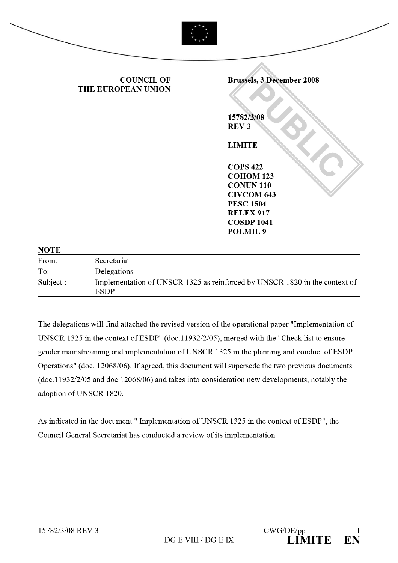

| To:       | Delegations                                                                        |
|-----------|------------------------------------------------------------------------------------|
| Subject : | Implementation of UNSCR 1325 as reinforced by UNSCR 1820 in the context of<br>ESDP |

The delegations will find attached the revised version of the operational paper "Implementation of UNSCR 1325 in the context of ESDP" (doc.11932/2/05), merged with the "Check list to ensure gender mainstreaming and implementation of UNSCR 1325 in the planning and conduct of ESDP Operations" (doc. 12068/06). If agreed, this document will supersede the two previous documents (doc.11932/2/05 and doc 12068/06) and takes into consideration new developments, notably the adoption of UNSCR 1820.

As indicated in the document "Implementation of UNSCR 1325 in the context of ESDP", the Council General Secretariat has conducted a review of its implementation.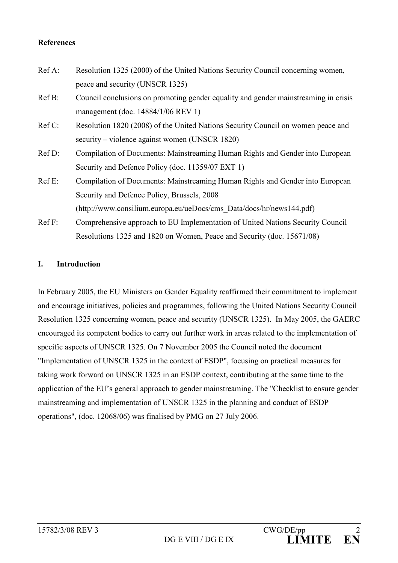### **References**

| Ref A:   | Resolution 1325 (2000) of the United Nations Security Council concerning women,     |
|----------|-------------------------------------------------------------------------------------|
|          | peace and security (UNSCR 1325)                                                     |
| Ref B:   | Council conclusions on promoting gender equality and gender mainstreaming in crisis |
|          | management (doc. $14884/1/06$ REV 1)                                                |
| $RefC$ : | Resolution 1820 (2008) of the United Nations Security Council on women peace and    |
|          | security – violence against women (UNSCR 1820)                                      |
| Ref D:   | Compilation of Documents: Mainstreaming Human Rights and Gender into European       |
|          | Security and Defence Policy (doc. 11359/07 EXT 1)                                   |
| $RefE$ : | Compilation of Documents: Mainstreaming Human Rights and Gender into European       |
|          | Security and Defence Policy, Brussels, 2008                                         |
|          | (http://www.consilium.europa.eu/ueDocs/cms Data/docs/hr/news144.pdf)                |
| RefF:    | Comprehensive approach to EU Implementation of United Nations Security Council      |
|          | Resolutions 1325 and 1820 on Women, Peace and Security (doc. 15671/08)              |

#### $\mathbf{L}$ **Introduction**

In February 2005, the EU Ministers on Gender Equality reaffirmed their commitment to implement and encourage initiatives, policies and programmes, following the United Nations Security Council Resolution 1325 concerning women, peace and security (UNSCR 1325). In May 2005, the GAERC encouraged its competent bodies to carry out further work in areas related to the implementation of specific aspects of UNSCR 1325. On 7 November 2005 the Council noted the document "Implementation of UNSCR 1325 in the context of ESDP", focusing on practical measures for taking work forward on UNSCR 1325 in an ESDP context, contributing at the same time to the application of the EU's general approach to gender mainstreaming. The "Checklist to ensure gender mainstreaming and implementation of UNSCR 1325 in the planning and conduct of ESDP operations", (doc. 12068/06) was finalised by PMG on 27 July 2006.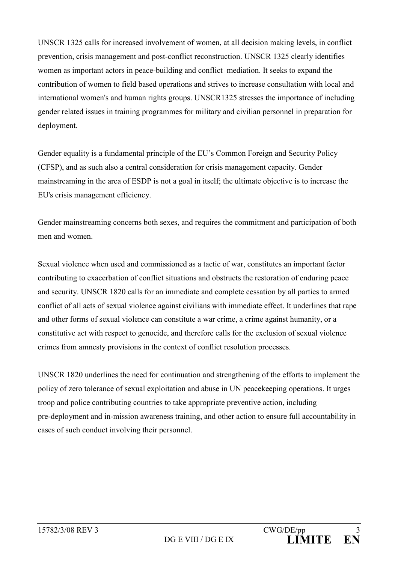UNSCR 1325 calls for increased involvement of women, at all decision making levels, in conflict prevention, crisis management and post-conflict reconstruction. UNSCR 1325 clearly identifies women as important actors in peace-building and conflict mediation. It seeks to expand the contribution of women to field based operations and strives to increase consultation with local and international women's and human rights groups. UNSCR1325 stresses the importance of including gender related issues in training programmes for military and civilian personnel in preparation for deployment.

Gender equality is a fundamental principle of the EU's Common Foreign and Security Policy (CFSP), and as such also a central consideration for crisis management capacity. Gender mainstreaming in the area of ESDP is not a goal in itself; the ultimate objective is to increase the EU's crisis management efficiency.

Gender mainstreaming concerns both sexes, and requires the commitment and participation of both men and women.

Sexual violence when used and commissioned as a tactic of war, constitutes an important factor contributing to exacerbation of conflict situations and obstructs the restoration of enduring peace and security. UNSCR 1820 calls for an immediate and complete cessation by all parties to armed conflict of all acts of sexual violence against civilians with immediate effect. It underlines that rape and other forms of sexual violence can constitute a war crime, a crime against humanity, or a constitutive act with respect to genocide, and therefore calls for the exclusion of sexual violence crimes from amnesty provisions in the context of conflict resolution processes.

UNSCR 1820 underlines the need for continuation and strengthening of the efforts to implement the policy of zero tolerance of sexual exploitation and abuse in UN peace keeping operations. It urges troop and police contributing countries to take appropriate preventive action, including pre-deployment and in-mission awareness training, and other action to ensure full accountability in cases of such conduct involving their personnel.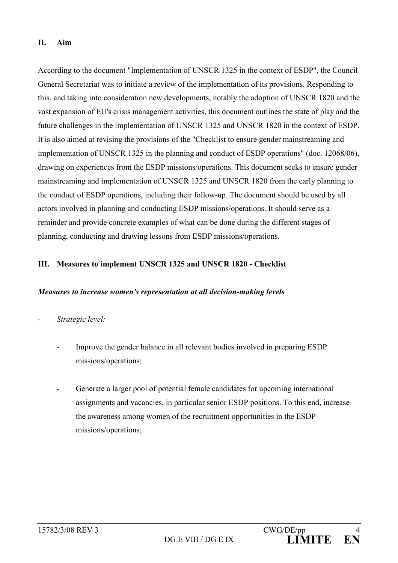#### $\Pi$ . Aim

According to the document "Implementation of UNSCR 1325 in the context of ESDP", the Council General Secretariat was to initiate a review of the implementation of its provisions. Responding to this, and taking into consideration new developments, notably the adoption of UNSCR 1820 and the vast expansion of EU's crisis management activities, this document outlines the state of play and the future challenges in the implementation of UNSCR 1325 and UNSCR 1820 in the context of ESDP. It is also aimed at revising the provisions of the "Checklist to ensure gender mainstreaming and implementation of UNSCR 1325 in the planning and conduct of ESDP operations" (doc. 12068/06), drawing on experiences from the ESDP missions/operations. This document seeks to ensure gender mainstreaming and implementation of UNSCR 1325 and UNSCR 1820 from the early planning to the conduct of ESDP operations, including their follow-up. The document should be used by all actors involved in planning and conducting ESDP missions/operations. It should serve as a reminder and provide concrete examples of what can be done during the different stages of planning, conducting and drawing lessons from ESDP missions/operations.

#### Ш. Measures to implement UNSCR 1325 and UNSCR 1820 - Checklist

#### Measures to increase women's representation at all decision-making levels

- Strategic level:
	- Improve the gender balance in all relevant bodies involved in preparing ESDP missions/operations;
	- Generate a larger pool of potential female candidates for upcoming international assignments and vacancies, in particular senior ESDP positions. To this end, increase the awareness among women of the recruitment opportunities in the ESDP missions/operations;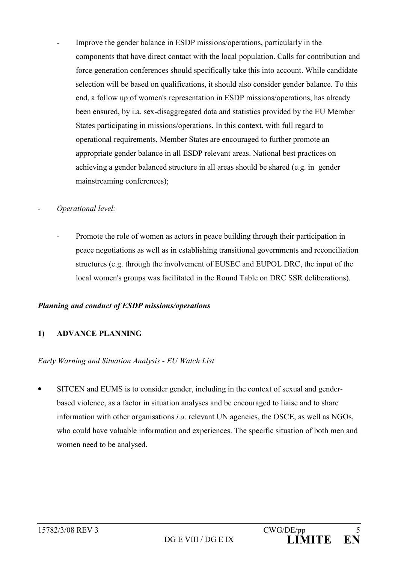- Improve the gender balance in ESDP missions/operations, particularly in the components that have direct contact with the local population. Calls for contribution and force generation conferences should specifically take this into account. While candidate selection will be based on qualifications, it should also consider gender balance. To this end, a follow up of women's representation in ESDP missions/operations, has already been ensured, by i.a. sex-disaggregated data and statistics provided by the EU Member States participating in missions/operations. In this context, with full regard to operational requirements, Member States are encouraged to further promote an appropriate gender balance in all ESDP relevant areas. National best practices on achieving a gender balanced structure in all areas should be shared (e.g. in gender mainstreaming conferences);
- Operational level:
	- Promote the role of women as actors in peace building through their participation in peace negotiations as well as in establishing transitional governments and reconciliation structures (e.g. through the involvement of EUSEC and EUPOL DRC, the input of the local women's groups was facilitated in the Round Table on DRC SSR deliberations).

## Planning and conduct of ESDP missions/operations

#### **ADVANCE PLANNING**  $1)$

## Early Warning and Situation Analysis - EU Watch List

SITCEN and EUMS is to consider gender, including in the context of sexual and gender- $\bullet$ based violence, as a factor in situation analyses and be encouraged to liaise and to share information with other organisations *i.a.* relevant UN agencies, the OSCE, as well as NGOs, who could have valuable information and experiences. The specific situation of both men and women need to be analysed.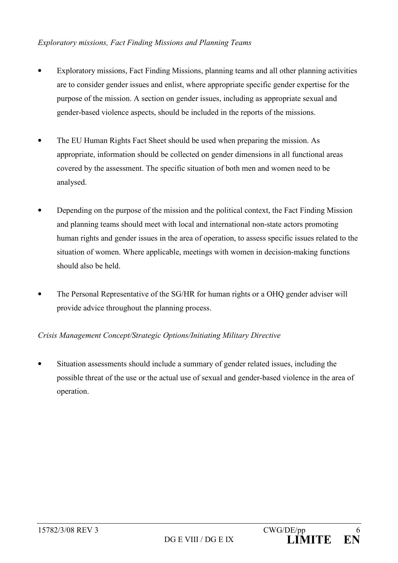### **Exploratory missions, Fact Finding Missions and Planning Teams**

- Exploratory missions, Fact Finding Missions, planning teams and all other planning activities are to consider gender issues and enlist, where appropriate specific gender expertise for the purpose of the mission. A section on gender issues, including as appropriate sexual and gender-based violence aspects, should be included in the reports of the missions.
- The EU Human Rights Fact Sheet should be used when preparing the mission. As appropriate, information should be collected on gender dimensions in all functional areas covered by the assessment. The specific situation of both men and women need to be analysed.
- Depending on the purpose of the mission and the political context, the Fact Finding Mission and planning teams should meet with local and international non-state actors promoting human rights and gender issues in the area of operation, to assess specific issues related to the situation of women. Where applicable, meetings with women in decision-making functions should also be held
- The Personal Representative of the SG/HR for human rights or a OHQ gender adviser will provide advice throughout the planning process.

## Crisis Management Concept/Strategic Options/Initiating Military Directive

Situation assessments should include a summary of gender related issues, including the possible threat of the use or the actual use of sexual and gender-based violence in the area of operation.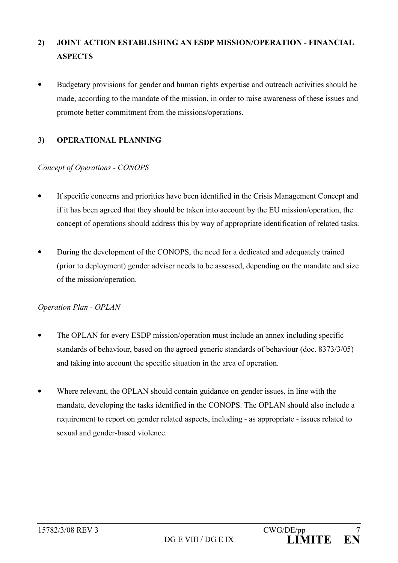#### $2)$ **JOINT ACTION ESTABLISHING AN ESDP MISSION/OPERATION - FINANCIAL ASPECTS**

Budgetary provisions for gender and human rights expertise and outreach activities should be made, according to the mandate of the mission, in order to raise awareness of these issues and promote better commitment from the missions/operations.

#### **OPERATIONAL PLANNING**  $3)$

## Concept of Operations - CONOPS

- If specific concerns and priorities have been identified in the Crisis Management Concept and if it has been agreed that they should be taken into account by the EU mission/operation, the concept of operations should address this by way of appropriate identification of related tasks.
- During the development of the CONOPS, the need for a dedicated and adequately trained  $\bullet$ (prior to deployment) gender adviser needs to be assessed, depending on the mandate and size of the mission/operation.

## **Operation Plan - OPLAN**

- The OPLAN for every ESDP mission/operation must include an annex including specific standards of behaviour, based on the agreed generic standards of behaviour (doc. 8373/3/05) and taking into account the specific situation in the area of operation.
- Where relevant, the OPLAN should contain guidance on gender issues, in line with the mandate, developing the tasks identified in the CONOPS. The OPLAN should also include a requirement to report on gender related aspects, including - as appropriate - issues related to sexual and gender-based violence.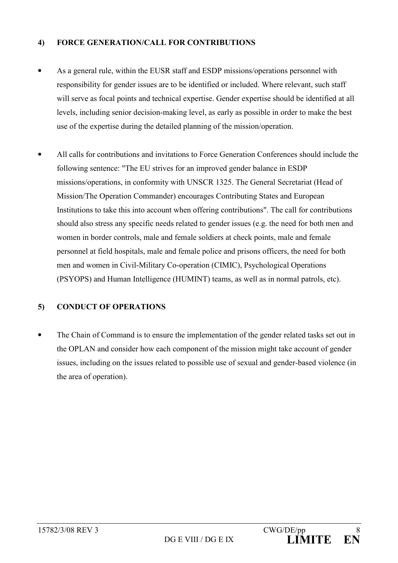#### $\overline{4}$ **FORCE GENERATION/CALL FOR CONTRIBUTIONS**

- As a general rule, within the EUSR staff and ESDP missions/operations personnel with responsibility for gender issues are to be identified or included. Where relevant, such staff will serve as focal points and technical expertise. Gender expertise should be identified at all levels, including senior decision-making level, as early as possible in order to make the best use of the expertise during the detailed planning of the mission/operation.
- All calls for contributions and invitations to Force Generation Conferences should include the following sentence: "The EU strives for an improved gender balance in ESDP missions/operations, in conformity with UNSCR 1325. The General Secretariat (Head of Mission/The Operation Commander) encourages Contributing States and European Institutions to take this into account when offering contributions". The call for contributions should also stress any specific needs related to gender issues (e.g. the need for both men and women in border controls, male and female soldiers at check points, male and female personnel at field hospitals, male and female police and prisons officers, the need for both men and women in Civil-Military Co-operation (CIMIC), Psychological Operations (PSYOPS) and Human Intelligence (HUMINT) teams, as well as in normal patrols, etc).

#### **CONDUCT OF OPERATIONS**  $5)$

The Chain of Command is to ensure the implementation of the gender related tasks set out in  $\bullet$ the OPLAN and consider how each component of the mission might take account of gender issues, including on the issues related to possible use of sexual and gender-based violence (in the area of operation).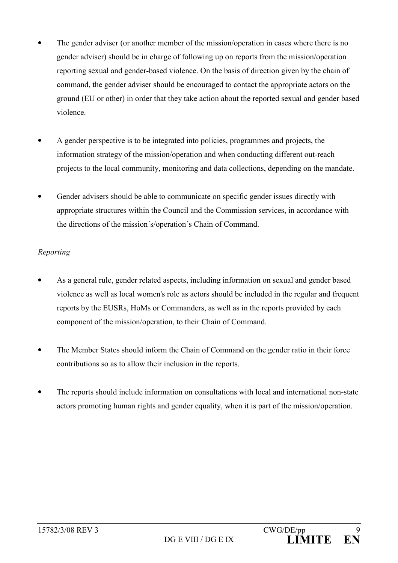- The gender adviser (or another member of the mission/operation in cases where there is no gender adviser) should be in charge of following up on reports from the mission/operation reporting sexual and gender-based violence. On the basis of direction given by the chain of command, the gender adviser should be encouraged to contact the appropriate actors on the ground (EU or other) in order that they take action about the reported sexual and gender based violence
- A gender perspective is to be integrated into policies, programmes and projects, the information strategy of the mission/operation and when conducting different out-reach projects to the local community, monitoring and data collections, depending on the mandate.
- Gender advisers should be able to communicate on specific gender issues directly with appropriate structures within the Council and the Commission services, in accordance with the directions of the mission's/operation's Chain of Command.

## Reporting

- As a general rule, gender related aspects, including information on sexual and gender based violence as well as local women's role as actors should be included in the regular and frequent reports by the EUSRs, HoMs or Commanders, as well as in the reports provided by each component of the mission/operation, to their Chain of Command.
- The Member States should inform the Chain of Command on the gender ratio in their force contributions so as to allow their inclusion in the reports.
- The reports should include information on consultations with local and international non-state actors promoting human rights and gender equality, when it is part of the mission/operation.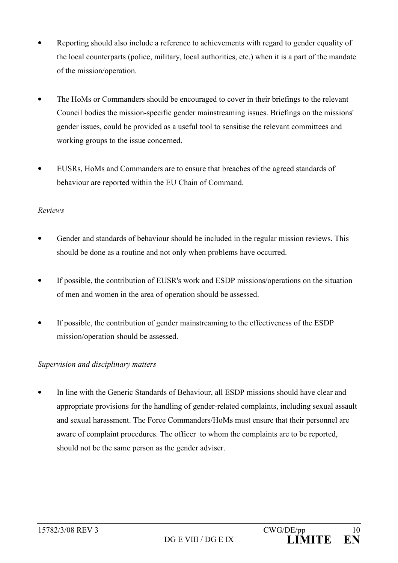- Reporting should also include a reference to achievements with regard to gender equality of the local counterparts (police, military, local authorities, etc.) when it is a part of the mandate of the mission/operation.
- The HoMs or Commanders should be encouraged to cover in their briefings to the relevant Council bodies the mission-specific gender mainstreaming issues. Briefings on the missions' gender issues, could be provided as a useful tool to sensitise the relevant committees and working groups to the issue concerned.
- EUSRs, HoMs and Commanders are to ensure that breaches of the agreed standards of behaviour are reported within the EU Chain of Command.

## Reviews

- Gender and standards of behaviour should be included in the regular mission reviews. This should be done as a routine and not only when problems have occurred.
- If possible, the contribution of EUSR's work and ESDP missions/operations on the situation of men and women in the area of operation should be assessed.
- If possible, the contribution of gender mainstreaming to the effectiveness of the ESDP mission/operation should be assessed.

## Supervision and disciplinary matters

In line with the Generic Standards of Behaviour, all ESDP missions should have clear and appropriate provisions for the handling of gender-related complaints, including sexual assault and sexual harassment. The Force Commanders/HoMs must ensure that their personnel are aware of complaint procedures. The officer to whom the complaints are to be reported, should not be the same person as the gender adviser.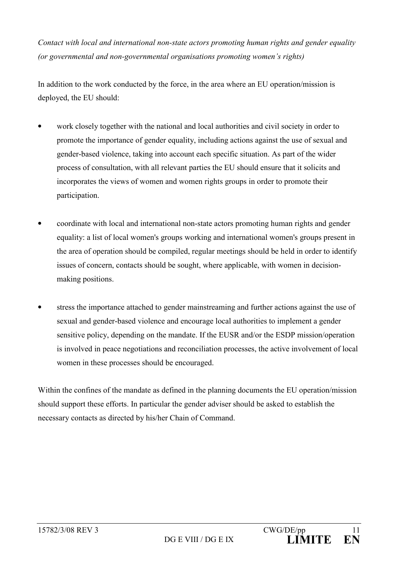Contact with local and international non-state actors promoting human rights and gender equality (or governmental and non-governmental organisations promoting women's rights)

In addition to the work conducted by the force, in the area where an EU operation/mission is deployed, the EU should:

- work closely together with the national and local authorities and civil society in order to promote the importance of gender equality, including actions against the use of sexual and gender-based violence, taking into account each specific situation. As part of the wider process of consultation, with all relevant parties the EU should ensure that it solicits and incorporates the views of women and women rights groups in order to promote their participation.
- coordinate with local and international non-state actors promoting human rights and gender equality: a list of local women's groups working and international women's groups present in the area of operation should be compiled, regular meetings should be held in order to identify issues of concern, contacts should be sought, where applicable, with women in decisionmaking positions.
- stress the importance attached to gender mainstreaming and further actions against the use of sexual and gender-based violence and encourage local authorities to implement a gender sensitive policy, depending on the mandate. If the EUSR and/or the ESDP mission/operation is involved in peace negotiations and reconciliation processes, the active involvement of local women in these processes should be encouraged.

Within the confines of the mandate as defined in the planning documents the EU operation/mission should support these efforts. In particular the gender adviser should be asked to establish the necessary contacts as directed by his/her Chain of Command.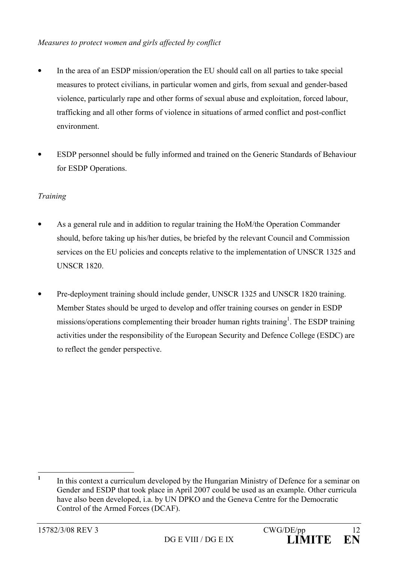- In the area of an ESDP mission/operation the EU should call on all parties to take special  $\bullet$ measures to protect civilians, in particular women and girls, from sexual and gender-based violence, particularly rape and other forms of sexual abuse and exploitation, forced labour, trafficking and all other forms of violence in situations of armed conflict and post-conflict environment
- ESDP personnel should be fully informed and trained on the Generic Standards of Behaviour for ESDP Operations.

# Training

- As a general rule and in addition to regular training the HoM/the Operation Commander should, before taking up his/her duties, be briefed by the relevant Council and Commission services on the EU policies and concepts relative to the implementation of UNSCR 1325 and **UNSCR 1820**
- Pre-deployment training should include gender, UNSCR 1325 and UNSCR 1820 training. Member States should be urged to develop and offer training courses on gender in ESDP missions/operations complementing their broader human rights training<sup>1</sup>. The ESDP training activities under the responsibility of the European Security and Defence College (ESDC) are to reflect the gender perspective.

 $\mathbf{1}$ In this context a curriculum developed by the Hungarian Ministry of Defence for a seminar on Gender and ESDP that took place in April 2007 could be used as an example. Other curricula have also been developed, i.a. by UN DPKO and the Geneva Centre for the Democratic Control of the Armed Forces (DCAF).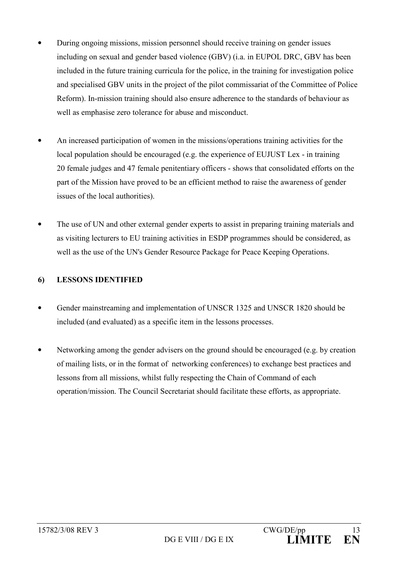- During ongoing missions, mission personnel should receive training on gender issues including on sexual and gender based violence (GBV) (i.a. in EUPOL DRC, GBV has been included in the future training curricula for the police, in the training for investigation police and specialised GBV units in the project of the pilot commissariat of the Committee of Police Reform). In-mission training should also ensure adherence to the standards of behaviour as well as emphasise zero tolerance for abuse and misconduct.
- An increased participation of women in the missions/operations training activities for the local population should be encouraged (e.g. the experience of EUJUST Lex - in training 20 female judges and 47 female penitentiary officers - shows that consolidated efforts on the part of the Mission have proved to be an efficient method to raise the awareness of gender issues of the local authorities).
- The use of UN and other external gender experts to assist in preparing training materials and  $\bullet$ as visiting lecturers to EU training activities in ESDP programmes should be considered, as well as the use of the UN's Gender Resource Package for Peace Keeping Operations.

#### **LESSONS IDENTIFIED** 6

- Gender mainstreaming and implementation of UNSCR 1325 and UNSCR 1820 should be included (and evaluated) as a specific item in the lessons processes.
- Networking among the gender advisers on the ground should be encouraged (e.g. by creation of mailing lists, or in the format of networking conferences) to exchange best practices and lessons from all missions, whilst fully respecting the Chain of Command of each operation/mission. The Council Secretariat should facilitate these efforts, as appropriate.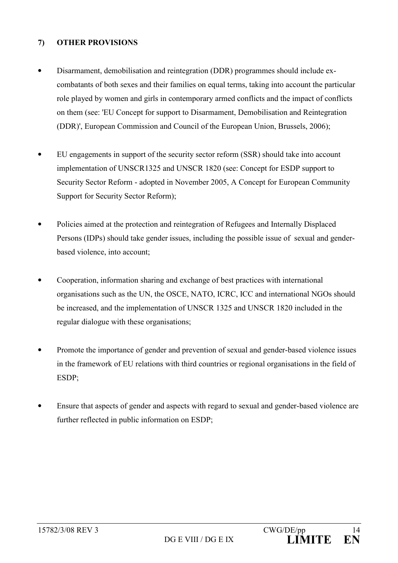#### $\overline{7}$ **OTHER PROVISIONS**

- Disarmament, demobilisation and reintegration (DDR) programmes should include excombatants of both sexes and their families on equal terms, taking into account the particular role played by women and girls in contemporary armed conflicts and the impact of conflicts on them (see: 'EU Concept for support to Disarmament, Demobilisation and Reintegration (DDR)', European Commission and Council of the European Union, Brussels, 2006);
- EU engagements in support of the security sector reform (SSR) should take into account  $\bullet$ implementation of UNSCR1325 and UNSCR 1820 (see: Concept for ESDP support to Security Sector Reform - adopted in November 2005, A Concept for European Community Support for Security Sector Reform);
- Policies aimed at the protection and reintegration of Refugees and Internally Displaced  $\bullet$ Persons (IDPs) should take gender issues, including the possible issue of sexual and genderbased violence, into account;
- Cooperation, information sharing and exchange of best practices with international  $\bullet$ organisations such as the UN, the OSCE, NATO, ICRC, ICC and international NGOs should be increased, and the implementation of UNSCR 1325 and UNSCR 1820 included in the regular dialogue with these organisations;
- Promote the importance of gender and prevention of sexual and gender-based violence issues in the framework of EU relations with third countries or regional organisations in the field of ESDP:
- Ensure that aspects of gender and aspects with regard to sexual and gender-based violence are further reflected in public information on ESDP;